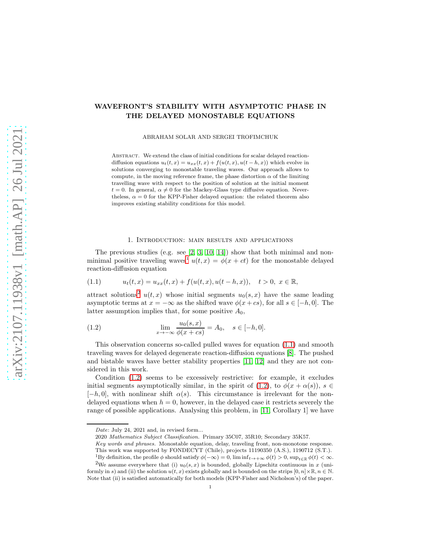# WAVEFRONT'S STABILITY WITH ASYMPTOTIC PHASE IN THE DELAYED MONOSTABLE EQUATIONS

ABRAHAM SOLAR AND SERGEI TROFIMCHUK

ABSTRACT. We extend the class of initial conditions for scalar delayed reactiondiffusion equations  $u_t(t, x) = u_{xx}(t, x) + f(u(t, x), u(t - h, x))$  which evolve in solutions converging to monostable traveling waves. Our approach allows to compute, in the moving reference frame, the phase distortion  $\alpha$  of the limiting travelling wave with respect to the position of solution at the initial moment  $t = 0$ . In general,  $\alpha \neq 0$  for the Mackey-Glass type diffusive equation. Nevertheless,  $\alpha = 0$  for the KPP-Fisher delayed equation: the related theorem also improves existing stability conditions for this model.

#### 1. Introduction: main results and applications

The previous studies (e.g. see  $[2, 3, 10, 14]$  $[2, 3, 10, 14]$  $[2, 3, 10, 14]$  $[2, 3, 10, 14]$ ) show that both minimal and non-minimal positive traveling waves<sup>[1](#page-0-0)</sup>  $u(t, x) = \phi(x + ct)$  for the monostable delayed reaction-diffusion equation

<span id="page-0-2"></span>(1.1) 
$$
u_t(t,x) = u_{xx}(t,x) + f(u(t,x),u(t-h,x)), \quad t > 0, \ x \in \mathbb{R},
$$

attract solutions<sup>[2](#page-0-1)</sup>  $u(t, x)$  whose initial segments  $u_0(s, x)$  have the same leading asymptotic terms at  $x = -\infty$  as the shifted wave  $\phi(x + cs)$ , for all  $s \in [-h, 0]$ . The latter assumption implies that, for some positive  $A_0$ ,

<span id="page-0-3"></span>(1.2) 
$$
\lim_{x \to -\infty} \frac{u_0(s, x)}{\phi(x + cs)} = A_0, \quad s \in [-h, 0].
$$

This observation concerns so-called pulled waves for equation [\(1.1\)](#page-0-2) and smooth traveling waves for delayed degenerate reaction-diffusion equations [\[8\]](#page-8-4). The pushed and bistable waves have better stability properties [\[11,](#page-8-5) [12\]](#page-8-6) and they are not considered in this work.

Condition [\(1.2\)](#page-0-3) seems to be excessively restrictive: for example, it excludes initial segments asymptotically similar, in the spirit of [\(1.2\)](#page-0-3), to  $\phi(x + \alpha(s))$ ,  $s \in$  $[-h, 0]$ , with nonlinear shift  $\alpha(s)$ . This circumstance is irrelevant for the nondelayed equations when  $h = 0$ , however, in the delayed case it restricts severely the range of possible applications. Analysing this problem, in [\[11,](#page-8-5) Corollary 1] we have

Date: July 24, 2021 and, in revised form...

<sup>2020</sup> Mathematics Subject Classification. Primary 35C07, 35R10; Secondary 35K57.

Key words and phrases. Monostable equation, delay, traveling front, non-monotone response. This work was supported by FONDECYT (Chile), projects 11190350 (A.S.), 1190712 (S.T.).

<span id="page-0-0"></span><sup>&</sup>lt;sup>1</sup>By definition, the profile  $\phi$  should satisfy  $\phi(-\infty) = 0$ , lim inf $t \rightarrow +\infty$   $\phi(t) > 0$ , sup $t \in \mathbb{R}$   $\phi(t) < \infty$ .

<span id="page-0-1"></span><sup>&</sup>lt;sup>2</sup>We assume everywhere that (i)  $u_0(s, x)$  is bounded, globally Lipschitz continuous in x (uniformly in s) and (ii) the solution  $u(t, x)$  exists globally and is bounded on the strips  $[0, n] \times \mathbb{R}, n \in \mathbb{N}$ . Note that (ii) is satisfied automatically for both models (KPP-Fisher and Nicholson's) of the paper.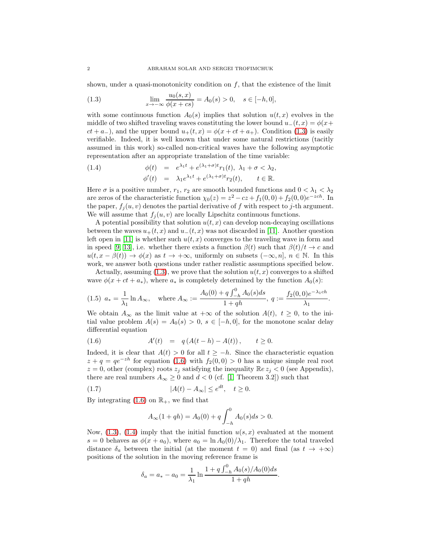shown, under a quasi-monotonicity condition on  $f$ , that the existence of the limit

<span id="page-1-0"></span>(1.3) 
$$
\lim_{x \to -\infty} \frac{u_0(s, x)}{\phi(x + cs)} = A_0(s) > 0, \quad s \in [-h, 0],
$$

with some continuous function  $A_0(s)$  implies that solution  $u(t, x)$  evolves in the middle of two shifted traveling waves constituting the lower bound  $u_-(t, x) = \phi(x+)$  $ct + a_{-}$ ), and the upper bound  $u_{+}(t, x) = \phi(x + ct + a_{+})$ . Condition [\(1.3\)](#page-1-0) is easily verifiable. Indeed, it is well known that under some natural restrictions (tacitly assumed in this work) so-called non-critical waves have the following asymptotic representation after an appropriate translation of the time variable:

<span id="page-1-2"></span>(1.4) 
$$
\phi(t) = e^{\lambda_1 t} + e^{(\lambda_1 + \sigma)t} r_1(t), \lambda_1 + \sigma < \lambda_2,
$$

$$
\phi'(t) = \lambda_1 e^{\lambda_1 t} + e^{(\lambda_1 + \sigma)t} r_2(t), \qquad t \in \mathbb{R}.
$$

Here  $\sigma$  is a positive number,  $r_1, r_2$  are smooth bounded functions and  $0 < \lambda_1 < \lambda_2$ are zeros of the characteristic function  $\chi_0(z) = z^2 - cz + f_1(0, 0) + f_2(0, 0)e^{-zch}$ . In the paper,  $f_i(u, v)$  denotes the partial derivative of f with respect to j-th argument. We will assume that  $f_j(u, v)$  are locally Lipschitz continuous functions.

A potential possibility that solution  $u(t, x)$  can develop non-decaying oscillations between the waves  $u_+(t, x)$  and  $u_-(t, x)$  was not discarded in [\[11\]](#page-8-5). Another question left open in [\[11\]](#page-8-5) is whether such  $u(t, x)$  converges to the traveling wave in form and in speed [\[9,](#page-8-7) [13\]](#page-8-8), i.e. whether there exists a function  $\beta(t)$  such that  $\beta(t)/t \to c$  and  $u(t, x - \beta(t)) \to \phi(x)$  as  $t \to +\infty$ , uniformly on subsets  $(-\infty, n]$ ,  $n \in \mathbb{N}$ . In this work, we answer both questions under rather realistic assumptions specified below.

Actually, assuming  $(1.3)$ , we prove that the solution  $u(t, x)$  converges to a shifted wave  $\phi(x + ct + a_*)$ , where  $a_*$  is completely determined by the function  $A_0(s)$ :

<span id="page-1-3"></span>
$$
(1.5) \ a_{*} = \frac{1}{\lambda_{1}} \ln A_{\infty}, \quad \text{where } A_{\infty} := \frac{A_{0}(0) + q \int_{-h}^{0} A_{0}(s) ds}{1 + qh}, \ q := \frac{f_{2}(0, 0)e^{-\lambda_{1} ch}}{\lambda_{1}}.
$$

We obtain  $A_{\infty}$  as the limit value at  $+\infty$  of the solution  $A(t)$ ,  $t \geq 0$ , to the initial value problem  $A(s) = A_0(s) > 0$ ,  $s \in [-h, 0]$ , for the monotone scalar delay differential equation

<span id="page-1-1"></span>(1.6) 
$$
A'(t) = q(A(t-h) - A(t)), \quad t \ge 0.
$$

Indeed, it is clear that  $A(t) > 0$  for all  $t \geq -h$ . Since the characteristic equation  $z + q = qe^{-zh}$  for equation [\(1.6\)](#page-1-1) with  $f_2(0,0) > 0$  has a unique simple real root  $z = 0$ , other (complex) roots  $z_j$  satisfying the inequality  $\mathbb{R}e z_j < 0$  (see Appendix), there are real numbers  $A_{\infty} \geq 0$  and  $d < 0$  (cf. [\[1,](#page-8-9) Theorem 3.2]) such that

$$
(1.7) \t\t |A(t) - A_{\infty}| \le e^{dt}, \quad t \ge 0.
$$

By integrating  $(1.6)$  on  $\mathbb{R}_+$ , we find that

<span id="page-1-4"></span>
$$
A_{\infty}(1+qh) = A_0(0) + q \int_{-h}^{0} A_0(s)ds > 0.
$$

Now,  $(1.3)$ ,  $(1.4)$  imply that the initial function  $u(s, x)$  evaluated at the moment s = 0 behaves as  $\phi(x + a_0)$ , where  $a_0 = \ln A_0(0)/\lambda_1$ . Therefore the total traveled distance  $\delta_a$  between the initial (at the moment  $t = 0$ ) and final (as  $t \to +\infty$ ) positions of the solution in the moving reference frame is

$$
\delta_a = a_* - a_0 = \frac{1}{\lambda_1} \ln \frac{1 + q \int_{-h}^0 A_0(s) / A_0(0) ds}{1 + qh}.
$$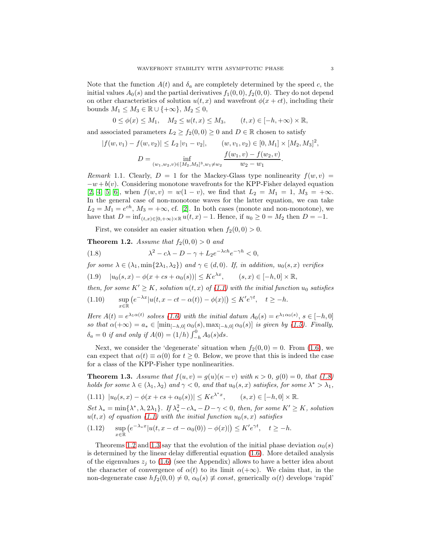Note that the function  $A(t)$  and  $\delta_a$  are completely determined by the speed c, the initial values  $A_0(s)$  and the partial derivatives  $f_1(0, 0)$ ,  $f_2(0, 0)$ . They do not depend on other characteristics of solution  $u(t, x)$  and wavefront  $\phi(x + ct)$ , including their bounds  $M_1 \leq M_3 \in \mathbb{R} \cup \{+\infty\}, M_2 \leq 0$ ,

$$
0 \le \phi(x) \le M_1, \quad M_2 \le u(t, x) \le M_3, \qquad (t, x) \in [-h, +\infty) \times \mathbb{R},
$$

and associated parameters  $L_2 \ge f_2(0,0) \ge 0$  and  $D \in \mathbb{R}$  chosen to satisfy

$$
|f(w, v_1) - f(w, v_2)| \le L_2 |v_1 - v_2|, \qquad (w, v_1, v_2) \in [0, M_1] \times [M_2, M_3]^2,
$$
  

$$
D = \inf_{(w_1, w_2, v) \in [M_2, M_3]^3, w_1 \ne w_2} \frac{f(w_1, v) - f(w_2, v)}{w_2 - w_1}.
$$

<span id="page-2-3"></span>Remark 1.1. Clearly,  $D = 1$  for the Mackey-Glass type nonlinearity  $f(w, v) =$  $-w + b(v)$ . Considering monotone wavefronts for the KPP-Fisher delayed equation [\[2,](#page-8-0) [4,](#page-8-10) [5,](#page-8-11) [6\]](#page-8-12), when  $f(w, v) = w(1 - v)$ , we find that  $L_2 = M_1 = 1$ ,  $M_3 = +\infty$ . In the general case of non-monotone waves for the latter equation, we can take  $L_2 = M_1 = e^{ch}, M_3 = +\infty$ , cf. [\[2\]](#page-8-0). In both cases (monote and non-monotone), we have that  $D = \inf_{(t,x)\in [0,+\infty)\times \mathbb{R}} u(t,x) - 1$ . Hence, if  $u_0 \ge 0 = M_2$  then  $D = -1$ .

<span id="page-2-0"></span>First, we consider an easier situation when  $f_2(0, 0) > 0$ .

<span id="page-2-1"></span>**Theorem 1.2.** Assume that 
$$
f_2(0,0) > 0
$$
 and

(1.8) 
$$
\lambda^2 - c\lambda - D - \gamma + L_2 e^{-\lambda c h} e^{-\gamma h} < 0,
$$

for some  $\lambda \in (\lambda_1, \min\{2\lambda_1, \lambda_2\})$  and  $\gamma \in (d, 0)$ . If, in addition,  $u_0(s, x)$  verifies

<span id="page-2-4"></span> $|u_0(s, x) - \phi(x + cs + \alpha_0(s))| \leq Ke^{\lambda x}, \quad (s, x) \in [-h, 0] \times \mathbb{R},$ 

then, for some  $K' \geq K$ , solution  $u(t, x)$  of [\(1.1\)](#page-0-2) with the initial function  $u_0$  satisfies

<span id="page-2-5"></span>
$$
(1.10) \qquad \sup_{x \in \mathbb{R}} \left( e^{-\lambda x} |u(t, x - ct - \alpha(t)) - \phi(x)| \right) \le K' e^{\gamma t}, \quad t \ge -h.
$$

Here  $A(t) = e^{\lambda_1 \alpha(t)}$  solves [\(1.6\)](#page-1-1) with the initial datum  $A_0(s) = e^{\lambda_1 \alpha_0(s)}$ ,  $s \in [-h, 0]$ so that  $\alpha(+\infty) = a_* \in [\min_{[-h,0]} \alpha_0(s), \max_{[-h,0]} \alpha_0(s)]$  is given by [\(1.5\)](#page-1-3). Finally,  $\delta_a = 0$  if and only if  $A(0) = (1/h) \int_{-h}^{0} A_0(s) ds$ .

Next, we consider the 'degenerate' situation when  $f_2(0, 0) = 0$ . From [\(1.6\)](#page-1-1), we can expect that  $\alpha(t) \equiv \alpha(0)$  for  $t \geq 0$ . Below, we prove that this is indeed the case for a class of the KPP-Fisher type nonlinearities.

<span id="page-2-2"></span>**Theorem 1.3.** Assume that  $f(u, v) = g(u)(\kappa - v)$  with  $\kappa > 0$ ,  $g(0) = 0$ , that [\(1.8\)](#page-2-0) holds for some  $\lambda \in (\lambda_1, \lambda_2)$  and  $\gamma < 0$ , and that  $u_0(s, x)$  satisfies, for some  $\lambda^* > \lambda_1$ ,

<span id="page-2-6"></span> $(1.11) |u_0(s,x) - \phi(x + cs + \alpha_0(s))| \leq Ke^{\lambda^*x}, \quad (s,x) \in [-h,0] \times \mathbb{R}.$ 

Set  $\lambda_* = \min\{\lambda^*, \lambda, 2\lambda_1\}$ . If  $\lambda_*^2 - c\lambda_* - D - \gamma < 0$ , then, for some  $K' \geq K$ , solution  $u(t, x)$  of equation [\(1.1\)](#page-0-2) with the initial function  $u_0(s, x)$  satisfies

$$
(1.12) \quad \sup_{x \in \mathbb{R}} \left( e^{-\lambda_* x} |u(t, x - ct - \alpha_0(0)) - \phi(x)| \right) \le K' e^{\gamma t}, \quad t \ge -h.
$$

Theorems [1.2](#page-2-1) and [1.3](#page-2-2) say that the evolution of the initial phase deviation  $\alpha_0(s)$ is determined by the linear delay differential equation [\(1.6\)](#page-1-1). More detailed analysis of the eigenvalues  $z_j$  to [\(1.6\)](#page-1-1) (see the Appendix) allows to have a better idea about the character of convergence of  $\alpha(t)$  to its limit  $\alpha(+\infty)$ . We claim that, in the non-degenerate case  $hf_2(0, 0) \neq 0$ ,  $\alpha_0(s) \neq const$ , generically  $\alpha(t)$  develops 'rapid'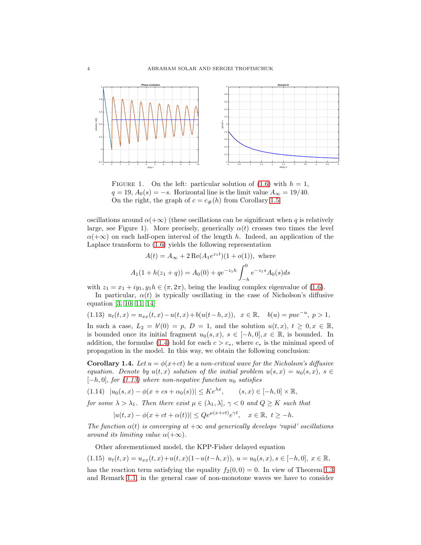

FIGURE 1. On the left: particular solution of  $(1.6)$  with  $h = 1$ ,  $q = 19, A_0(s) = -s$ . Horizontal line is the limit value  $A_\infty = 19/40$ . On the right, the graph of  $c = c_{\#}(h)$  from Corollary [1.5.](#page-4-0)

oscillations around  $\alpha(+\infty)$  (these oscillations can be significant when q is relatively large, see Figure 1). More precisely, generically  $\alpha(t)$  crosses two times the level  $\alpha(+\infty)$  on each half-open interval of the length h. Indeed, an application of the Laplace transform to [\(1.6\)](#page-1-1) yields the following representation

$$
A(t) = A_{\infty} + 2 \operatorname{Re}(A_1 e^{z_1 t})(1 + o(1)), \text{ where}
$$
  

$$
A_1(1 + h(z_1 + q)) = A_0(0) + q e^{-z_1 h} \int_{-h}^{0} e^{-z_1 s} A_0(s) ds
$$

with  $z_1 = x_1 + iy_1, y_1h \in (\pi, 2\pi)$ , being the leading complex eigenvalue of [\(1.6\)](#page-1-1).

In particular,  $\alpha(t)$  is typically oscillating in the case of Nicholson's diffusive equation [\[3,](#page-8-1) [10,](#page-8-2) [11,](#page-8-5) [14\]](#page-8-3)

<span id="page-3-0"></span>
$$
(1.13) \ \ u_t(t,x) = u_{xx}(t,x) - u(t,x) + b(u(t-h,x)), \ \ x \in \mathbb{R}, \quad b(u) = pue^{-u}, \ p > 1,
$$

In such a case,  $L_2 = b'(0) = p$ ,  $D = 1$ , and the solution  $u(t, x)$ ,  $t \geq 0, x \in \mathbb{R}$ , is bounded once its initial fragment  $u_0(s, x)$ ,  $s \in [-h, 0], x \in \mathbb{R}$ , is bounded. In addition, the formulae [\(1.4\)](#page-1-2) hold for each  $c > c<sub>*</sub>$ , where  $c<sub>*</sub>$  is the minimal speed of propagation in the model. In this way, we obtain the following conclusion:

**Corollary 1.4.** Let  $u = \phi(x+ct)$  be a non-critical wave for the Nicholson's diffusive equation. Denote by  $u(t, x)$  solution of the initial problem  $u(s, x) = u_0(s, x)$ ,  $s \in$  $[-h, 0]$ , for [\(1.13\)](#page-3-0) where non-negative function  $u_0$  satisfies

 $|u_0(s, x) - \phi(x + cs + \alpha_0(s))| \le Ke^{\lambda x}, \quad (s, x) \in [-h, 0] \times \mathbb{R},$ 

for some  $\lambda > \lambda_1$ . Then there exist  $\mu \in (\lambda_1, \lambda], \gamma < 0$  and  $Q \geq K$  such that

$$
|u(t,x) - \phi(x + ct + \alpha(t))| \leq Qe^{\mu(x + ct)}e^{\gamma t}, \quad x \in \mathbb{R}, \ t \geq -h.
$$

The function  $\alpha(t)$  is converging at  $+\infty$  and generically develops 'rapid' oscillations around its limiting value  $\alpha(+\infty)$ .

<span id="page-3-1"></span>Other aforementioned model, the KPP-Fisher delayed equation

$$
(1.15)\ \ u_t(t,x)=u_{xx}(t,x)+u(t,x)(1-u(t-h,x)),\ u=u_0(s,x),s\in[-h,0],\ x\in\mathbb{R},
$$

has the reaction term satisfying the equality  $f_2(0, 0) = 0$ . In view of Theorem [1.3](#page-2-2) and Remark [1.1,](#page-2-3) in the general case of non-monotone waves we have to consider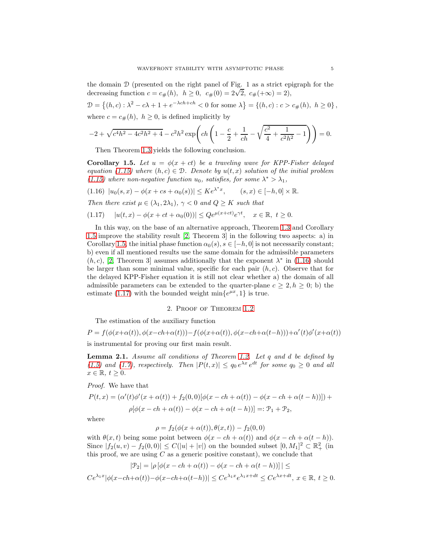the domain D (presented on the right panel of Fig. 1 as a strict epigraph for the decreasing function  $c = c_{\#}(h), h \ge 0, c_{\#}(0) = 2\sqrt{2}, c_{\#}(+\infty) = 2),$ 

 $\mathcal{D} = \{(h, c) : \lambda^2 - c\lambda + 1 + e^{-\lambda ch + ch} < 0 \text{ for some } \lambda\} = \{(h, c) : c > c_{\#}(h), h \ge 0\},\$ where  $c = c_{\#}(h)$ ,  $h \geq 0$ , is defined implicitly by

$$
-2 + \sqrt{c^4 h^2 - 4c^2 h^2 + 4} - c^2 h^2 \exp\left( ch \left( 1 - \frac{c}{2} + \frac{1}{ch} - \sqrt{\frac{c^2}{4} + \frac{1}{c^2 h^2} - 1} \right) \right) = 0.
$$

Then Theorem [1.3](#page-2-2) yields the following conclusion.

<span id="page-4-0"></span>**Corollary 1.5.** Let  $u = \phi(x + ct)$  be a traveling wave for KPP-Fisher delayed equation [\(1.15\)](#page-3-1) where  $(h, c) \in \mathcal{D}$ . Denote by  $u(t, x)$  solution of the initial problem [\(1.15\)](#page-3-1) where non-negative function  $u_0$ , satisfies, for some  $\lambda^* > \lambda_1$ ,

<span id="page-4-1"></span> $(1.16) |u_0(s,x) - \phi(x + cs + \alpha_0(s))| \leq Ke^{\lambda^*x}, \quad (s,x) \in [-h,0] \times \mathbb{R}.$ Then there exist  $\mu \in (\lambda_1, 2\lambda_1)$ ,  $\gamma < 0$  and  $Q \geq K$  such that  $(1.17)$   $|u(t,x) - \phi(x + ct + \alpha_0(0))| \leq Q e^{\mu(x + ct)} e^{\gamma t}, \quad x \in \mathbb{R}, t \geq 0.$ 

<span id="page-4-2"></span>In this way, on the base of an alternative approach, Theorem [1.3](#page-2-2) and Corollary [1.5](#page-4-0) improve the stability result [\[2,](#page-8-0) Theorem 3] in the following two aspects: a) in Corollary [1.5,](#page-4-0) the initial phase function  $\alpha_0(s)$ ,  $s \in [-h, 0]$  is not necessarily constant; b) even if all mentioned results use the same domain for the admissible parameters  $(h, c)$ , [\[2,](#page-8-0) Theorem 3] assumes additionally that the exponent  $\lambda^*$  in [\(1.16\)](#page-4-1) should be larger than some minimal value, specific for each pair  $(h, c)$ . Observe that for the delayed KPP-Fisher equation it is still not clear whether a) the domain of all admissible parameters can be extended to the quarter-plane  $c \geq 2, h \geq 0$ ; b) the estimate [\(1.17\)](#page-4-2) with the bounded weight  $\min\{e^{\mu x}, 1\}$  is true.

### 2. Proof of Theorem [1.2](#page-2-1)

The estimation of the auxiliary function

$$
P = f(\phi(x+\alpha(t)), \phi(x-ch+\alpha(t))) - f(\phi(x+\alpha(t)), \phi(x-ch+\alpha(t-h))) + \alpha'(t)\phi'(x+\alpha(t))
$$

is instrumental for proving our first main result.

<span id="page-4-3"></span>**Lemma 2.1.** Assume all conditions of Theorem [1.2.](#page-2-1) Let  $q$  and  $d$  be defined by [\(1.5\)](#page-1-3) and [\(1.7\)](#page-1-4), respectively. Then  $|P(t,x)| \le q_0 e^{\lambda x} e^{dt}$  for some  $q_0 \ge 0$  and all  $x \in \mathbb{R}, t \geq 0.$ 

Proof. We have that

$$
P(t,x) = (\alpha'(t)\phi'(x + \alpha(t)) + f_2(0,0)[\phi(x - ch + \alpha(t)) - \phi(x - ch + \alpha(t - h))]) +
$$
  

$$
\rho[\phi(x - ch + \alpha(t)) - \phi(x - ch + \alpha(t - h))] =: \mathcal{P}_1 + \mathcal{P}_2,
$$

where

$$
\rho = f_2(\phi(x + \alpha(t)), \theta(x, t)) - f_2(0, 0)
$$

with  $\theta(x, t)$  being some point between  $\phi(x - ch + \alpha(t))$  and  $\phi(x - ch + \alpha(t - h))$ . Since  $|f_2(u, v) - f_2(0, 0)| \le C(|u| + |v|)$  on the bounded subset  $[0, M_1]^2 \subset \mathbb{R}^2_+$  (in this proof, we are using  $C$  as a generic positive constant), we conclude that

$$
|\mathcal{P}_2| = |\rho [\phi(x - ch + \alpha(t)) - \phi(x - ch + \alpha(t - h))]| \le
$$
  

$$
Ce^{\lambda_1 x} |\phi(x - ch + \alpha(t)) - \phi(x - ch + \alpha(t - h))| \le Ce^{\lambda_1 x} e^{\lambda_1 x + dt} \le Ce^{\lambda x + dt}, x \in \mathbb{R}, t \ge 0.
$$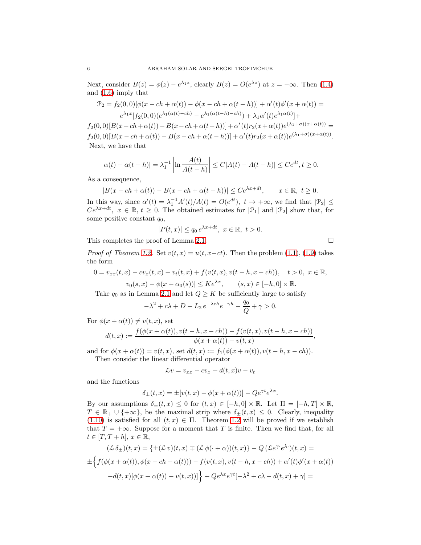Next, consider  $B(z) = \phi(z) - e^{\lambda_1 z}$ , clearly  $B(z) = O(e^{\lambda z})$  at  $z = -\infty$ . Then [\(1.4\)](#page-1-2) and [\(1.6\)](#page-1-1) imply that

$$
\mathcal{P}_2 = f_2(0,0)[\phi(x - ch + \alpha(t)) - \phi(x - ch + \alpha(t - h))] + \alpha'(t)\phi'(x + \alpha(t)) =
$$
  

$$
e^{\lambda_1 x}[f_2(0,0)(e^{\lambda_1(\alpha(t) - ch)} - e^{\lambda_1(\alpha(t - h) - ch)}) + \lambda_1\alpha'(t)e^{\lambda_1\alpha(t)}] +
$$

 $f_2(0,0)[B(x-ch+\alpha(t))-B(x-ch+\alpha(t-h))] + \alpha'(t)r_2(x+\alpha(t))e^{(\lambda_1+\sigma)(x+\alpha(t))} =$  $f_2(0,0)[B(x-ch+\alpha(t))-B(x-ch+\alpha(t-h))] + \alpha'(t)r_2(x+\alpha(t))e^{(\lambda_1+\sigma)(x+\alpha(t))}.$ Next, we have that

$$
|\alpha(t) - \alpha(t - h)| = \lambda_1^{-1} \left| \ln \frac{A(t)}{A(t - h)} \right| \le C|A(t) - A(t - h)| \le Ce^{dt}, t \ge 0.
$$

As a consequence,

$$
|B(x - ch + \alpha(t)) - B(x - ch + \alpha(t - h))| \le Ce^{\lambda x + dt}, \qquad x \in \mathbb{R}, t \ge 0.
$$

In this way, since  $\alpha'(t) = \lambda_1^{-1} A'(t)/A(t) = O(e^{dt}), t \to +\infty$ , we find that  $|\mathcal{P}_2| \le$  $Ce^{\lambda x+dt}$ ,  $x \in \mathbb{R}$ ,  $t \geq 0$ . The obtained estimates for  $|\mathcal{P}_1|$  and  $|\mathcal{P}_2|$  show that, for some positive constant  $q_0$ ,

$$
|P(t,x)| \le q_0 e^{\lambda x + dt}, \ x \in \mathbb{R}, \ t > 0.
$$

This completes the proof of Lemma [2.1.](#page-4-3)

*Proof of Theorem [1.2.](#page-2-1)* Set  $v(t, x) = u(t, x-ct)$ . Then the problem [\(1.1\)](#page-0-2), [\(1.9\)](#page-2-4) takes the form

$$
0 = v_{xx}(t, x) - cv_x(t, x) - v_t(t, x) + f(v(t, x), v(t - h, x - ch)), \quad t > 0, \ x \in \mathbb{R},
$$
  

$$
|v_0(s, x) - \phi(x + \alpha_0(s))| \le Ke^{\lambda x}, \quad (s, x) \in [-h, 0] \times \mathbb{R}.
$$

Take  $q_0$  as in Lemma [2.1](#page-4-3) and let  $Q \geq K$  be sufficiently large to satisfy

$$
-\lambda^2 + c\lambda + D - L_2 e^{-\lambda ch} e^{-\gamma h} - \frac{q_0}{Q} + \gamma > 0.
$$

For  $\phi(x + \alpha(t)) \neq v(t, x)$ , set

$$
d(t,x):=\frac{f(\phi(x+\alpha(t)),v(t-h,x-ch))-f(v(t,x),v(t-h,x-ch))}{\phi(x+\alpha(t))-v(t,x)},
$$

and for  $\phi(x + \alpha(t)) = v(t, x)$ , set  $d(t, x) := f_1(\phi(x + \alpha(t)), v(t - h, x - ch)).$ Then consider the linear differential operator

$$
\mathcal{L}v = v_{xx} - cv_x + d(t, x)v - v_t
$$

and the functions

$$
\delta_{\pm}(t,x) = \pm[v(t,x) - \phi(x + \alpha(t))] - Qe^{\gamma t}e^{\lambda x}.
$$

By our assumptions  $\delta_{\pm}(t,x) \leq 0$  for  $(t,x) \in [-h,0] \times \mathbb{R}$ . Let  $\Pi = [-h,T] \times \mathbb{R}$ ,  $T \in \mathbb{R}_+ \cup \{+\infty\}$ , be the maximal strip where  $\delta_{\pm}(t,x) \leq 0$ . Clearly, inequality [\(1.10\)](#page-2-5) is satisfied for all  $(t, x) \in \Pi$ . Theorem [1.2](#page-2-1) will be proved if we establish that  $T = +\infty$ . Suppose for a moment that T is finite. Then we find that, for all  $t \in [T, T+h], x \in \mathbb{R},$ 

$$
(\mathcal{L}\,\delta_{\pm})(t,x) = \{\pm(\mathcal{L}\,v)(t,x) \mp (\mathcal{L}\,\phi(\cdot+\alpha))(t,x)\} - Q\,(\mathcal{L}e^{\gamma\cdot}e^{\lambda\cdot})(t,x) =
$$
  

$$
\pm \Big\{f(\phi(x+\alpha(t)),\phi(x-ch+\alpha(t))) - f(v(t,x),v(t-h,x-ch)) + \alpha'(t)\phi'(x+\alpha(t))
$$
  

$$
-d(t,x)[\phi(x+\alpha(t)) - v(t,x))]\Big\} + Qe^{\lambda x}e^{\gamma t}[-\lambda^2 + c\lambda - d(t,x) + \gamma] =
$$

$$
\qquad \qquad \Box
$$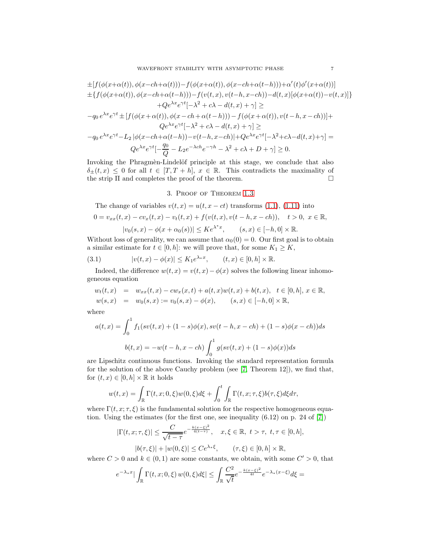$$
\pm[f(\phi(x+\alpha(t)),\phi(x-ch+\alpha(t))) - f(\phi(x+\alpha(t)),\phi(x-ch+\alpha(t-h))) + \alpha'(t)\phi'(x+\alpha(t))]
$$
  
\n
$$
\pm\{f(\phi(x+\alpha(t)),\phi(x-ch+\alpha(t-h))) - f(v(t,x),v(t-h,x-ch)) - d(t,x)[\phi(x+\alpha(t)) - v(t,x)]\}
$$
  
\n
$$
+Qe^{\lambda x}e^{\gamma t}[-\lambda^2 + c\lambda - d(t,x) + \gamma] \ge
$$
  
\n
$$
-q_0 e^{\lambda x}e^{\gamma t} \pm [f(\phi(x+\alpha(t)),\phi(x-ch+\alpha(t-h))) - f(\phi(x+\alpha(t)),v(t-h,x-ch))] +
$$
  
\n
$$
Qe^{\lambda x}e^{\gamma t}[-\lambda^2 + c\lambda - d(t,x) + \gamma] \ge
$$
  
\n
$$
-q_0 e^{\lambda x}e^{\gamma t} - L_2[\phi(x-ch+\alpha(t-h)) - v(t-h,x-ch)] + Qe^{\lambda x}e^{\gamma t}[-\lambda^2 + c\lambda - d(t,x) + \gamma] =
$$
  
\n
$$
Qe^{\lambda x}e^{\gamma t}[-\frac{q_0}{Q} - L_2e^{-\lambda ch}e^{-\gamma h} - \lambda^2 + c\lambda + D + \gamma] \ge 0.
$$

Invoking the Phragmen-Lindelöf principle at this stage, we conclude that also  $\delta_{\pm}(t, x) \leq 0$  for all  $t \in [T, T + h], x \in \mathbb{R}$ . This contradicts the maximality of the strip II and completes the proof of the theorem. the strip Π and completes the proof of the theorem.

## 3. Proof of Theorem [1.3](#page-2-2)

The change of variables  $v(t, x) = u(t, x - ct)$  transforms [\(1.1\)](#page-0-2), [\(1.11\)](#page-2-6) into

$$
0 = v_{xx}(t, x) - cv_x(t, x) - v_t(t, x) + f(v(t, x), v(t - h, x - ch)), \quad t > 0, \ x \in \mathbb{R},
$$
  

$$
|v_0(s, x) - \phi(x + \alpha_0(s))| \leq Ke^{\lambda^*x}, \quad (s, x) \in [-h, 0] \times \mathbb{R}.
$$

Without loss of generality, we can assume that  $\alpha_0(0) = 0$ . Our first goal is to obtain a similar estimate for  $t \in [0, h]$ : we will prove that, for some  $K_1 \geq K$ ,

<span id="page-6-0"></span>(3.1) 
$$
|v(t,x) - \phi(x)| \le K_1 e^{\lambda_* x}, \qquad (t,x) \in [0,h] \times \mathbb{R}.
$$

Indeed, the difference  $w(t, x) = v(t, x) - \phi(x)$  solves the following linear inhomogeneous equation

$$
w_t(t,x) = w_{xx}(t,x) - cw_x(x,t) + a(t,x)w(t,x) + b(t,x), t \in [0,h], x \in \mathbb{R},
$$
  

$$
w(s,x) = w_0(s,x) := v_0(s,x) - \phi(x), \qquad (s,x) \in [-h,0] \times \mathbb{R},
$$

where

$$
a(t,x) = \int_0^1 f_1(sv(t,x) + (1-s)\phi(x), sv(t-h,x-ch) + (1-s)\phi(x-ch))ds
$$

$$
b(t,x) = -w(t-h,x-ch) \int_0^1 g(sv(t,x) + (1-s)\phi(x))ds
$$

are Lipschitz continuous functions. Invoking the standard representation formula for the solution of the above Cauchy problem (see [\[7,](#page-8-13) Theorem 12]), we find that, for  $(t, x) \in [0, h] \times \mathbb{R}$  it holds

$$
w(t,x) = \int_{\mathbb{R}} \Gamma(t,x;0,\xi)w(0,\xi)d\xi + \int_0^t \int_{\mathbb{R}} \Gamma(t,x;\tau,\xi)b(\tau,\xi)d\xi d\tau,
$$

where  $\Gamma(t, x; \tau, \xi)$  is the fundamental solution for the respective homogeneous equation. Using the estimates (for the first one, see inequality (6.12) on p. 24 of [\[7\]](#page-8-13))

$$
|\Gamma(t, x; \tau, \xi)| \le \frac{C}{\sqrt{t - \tau}} e^{-\frac{k(x - \xi)^2}{4(t - \tau)}}, \quad x, \xi \in \mathbb{R}, \ t > \tau, \ t, \tau \in [0, h],
$$

$$
|b(\tau, \xi)| + |w(0, \xi)| \le C e^{\lambda_* \xi}, \qquad (\tau, \xi) \in [0, h] \times \mathbb{R},
$$

where  $C > 0$  and  $k \in (0, 1)$  are some constants, we obtain, with some  $C' > 0$ , that

$$
e^{-\lambda_*x}|\int_{\mathbb{R}}\Gamma(t,x;0,\xi)\,w(0,\xi)d\xi|\leq \int_{\mathbb{R}}\frac{C^2}{\sqrt{t}}e^{-\frac{k(x-\xi)^2}{4t}}e^{-\lambda_*(x-\xi)}d\xi=
$$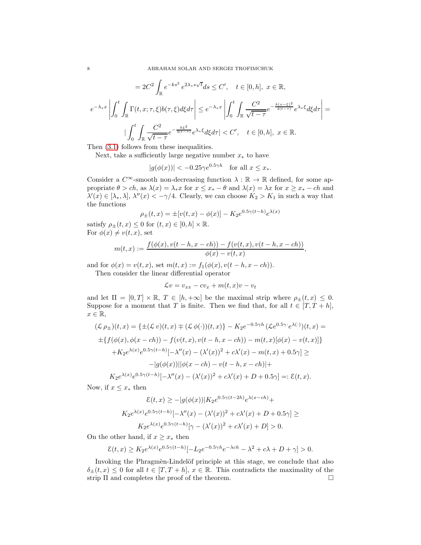$$
=2C^2\int_{\mathbb{R}}e^{-ks^2}e^{2\lambda_s s\sqrt{t}}ds\leq C',\quad t\in[0,h],\;x\in\mathbb{R},
$$

$$
e^{-\lambda_s x}\left|\int_0^t\int_{\mathbb{R}}\Gamma(t,x;\tau,\xi)b(\tau,\xi)d\xi d\tau\right|\leq e^{-\lambda_s x}\left|\int_0^t\int_{\mathbb{R}}\frac{C^2}{\sqrt{t-\tau}}e^{-\frac{k(x-\xi)^2}{4(t-\tau)}}e^{\lambda_s\xi}d\xi d\tau\right|=\frac{1}{\int_0^t\int_{\mathbb{R}}\frac{C^2}{\sqrt{t-\tau}}e^{-\frac{k\xi^2}{4(t-\tau)}}e^{\lambda_s\xi}d\xi d\tau| < C',\quad t\in[0,h],\;x\in\mathbb{R}.
$$

Then [\(3.1\)](#page-6-0) follows from these inequalities.

Next, take a sufficiently large negative number  $x_*$  to have

$$
|g(\phi(x))| < -0.25\gamma e^{0.5\gamma h} \quad \text{for all } x \le x_*
$$

Consider a  $C^{\infty}$ -smooth non-decreasing function  $\lambda : \mathbb{R} \to \mathbb{R}$  defined, for some appropriate  $\theta > ch$ , as  $\lambda(x) = \lambda_* x$  for  $x \leq x_* - \theta$  and  $\lambda(x) = \lambda x$  for  $x \geq x_* - ch$  and  $\lambda'(x) \in [\lambda_*, \lambda], \lambda''(x) < -\gamma/4.$  Clearly, we can choose  $K_2 > K_1$  in such a way that the functions

$$
\rho_{\pm}(t,x) = \pm [v(t,x) - \phi(x)] - K_2 e^{0.5\gamma(t-h)} e^{\lambda(x)}
$$

satisfy  $\rho_{\pm}(t,x) \leq 0$  for  $(t,x) \in [0,h] \times \mathbb{R}$ . For  $\phi(x) \neq v(t, x)$ , set

$$
m(t,x) := \frac{f(\phi(x), v(t-h, x-ch)) - f(v(t,x), v(t-h, x-ch))}{\phi(x) - v(t,x)}
$$

,

and for  $\phi(x) = v(t, x)$ , set  $m(t, x) := f_1(\phi(x), v(t - h, x - ch)).$ 

Then consider the linear differential operator

$$
\mathcal{L}v = v_{xx} - cv_x + m(t, x)v - v_t
$$

and let  $\Pi = [0, T] \times \mathbb{R}, T \in [h, +\infty]$  be the maximal strip where  $\rho_{\pm}(t, x) \leq 0$ . Suppose for a moment that T is finite. Then we find that, for all  $t \in [T, T + h]$ ,  $x \in \mathbb{R},$ 

$$
(\mathcal{L}\rho_{\pm})(t,x) = \{\pm(\mathcal{L}\,v)(t,x)\mp(\mathcal{L}\,\phi(\cdot))(t,x)\} - K_2e^{-0.5\gamma h}(\mathcal{L}e^{0.5\gamma}\cdot e^{\lambda(\cdot)})(t,x) =
$$
  
\n
$$
\pm\{f(\phi(x),\phi(x-ch)) - f(v(t,x),v(t-h,x-ch)) - m(t,x)[\phi(x) - v(t,x)]\}
$$
  
\n
$$
+K_2e^{\lambda(x)}e^{0.5\gamma(t-h)}[-\lambda''(x) - (\lambda'(x))^2 + c\lambda'(x) - m(t,x) + 0.5\gamma] \ge
$$
  
\n
$$
-|g(\phi(x))||\phi(x-ch) - v(t-h,x-ch)| +
$$
  
\n
$$
K_2e^{\lambda(x)}e^{0.5\gamma(t-h)}[-\lambda''(x) - (\lambda'(x))^2 + c\lambda'(x) + D + 0.5\gamma] =: \mathcal{E}(t,x).
$$

Now, if  $x \leq x_*$  then

$$
\mathcal{E}(t,x) \ge -|g(\phi(x))|K_2e^{0.5\gamma(t-2h)}e^{\lambda(x-ch)} + K_2e^{\lambda(x)}e^{0.5\gamma(t-h)}[-\lambda''(x) - (\lambda'(x))^2 + c\lambda'(x) + D + 0.5\gamma] \ge K_2e^{\lambda(x)}e^{0.5\gamma(t-h)}[\gamma - (\lambda'(x))^2 + c\lambda'(x) + D] > 0.
$$

On the other hand, if  $x \geq x_*$  then

$$
\mathcal{E}(t,x) \ge K_2 e^{\lambda(x)} e^{0.5\gamma(t-h)} [-L_2 e^{-0.5\gamma h} e^{-\lambda ch} - \lambda^2 + c\lambda + D + \gamma] > 0.
$$

Invoking the Phragmèn-Lindelöf principle at this stage, we conclude that also  $\delta_{\pm}(t, x) \leq 0$  for all  $t \in [T, T + h], x \in \mathbb{R}$ . This contradicts the maximality of the strip II and completes the proof of the theorem. strip Π and completes the proof of the theorem.